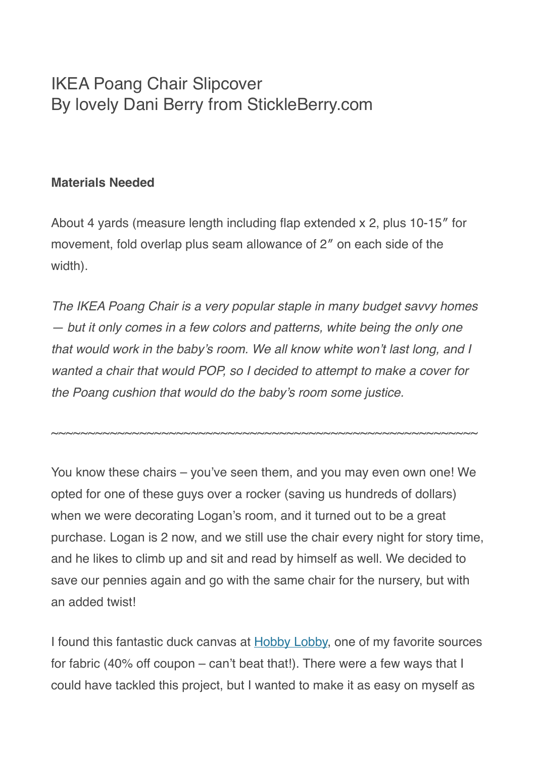## IKEA Poang Chair Slipcover By lovely Dani Berry from StickleBerry.com

## **Materials Needed**

About 4 yards (measure length including flap extended x 2, plus 10-15″ for movement, fold overlap plus seam allowance of 2″ on each side of the width).

*The IKEA Poang Chair is a very popular staple in many budget savvy homes — but it only comes in a few colors and patterns, white being the only one that would work in the baby's room. We all know white won't last long, and I wanted a chair that would POP, so I decided to attempt to make a cover for the Poang cushion that would do the baby's room some justice.*

~~~~~~~~~~~~~~~~~~~~~~~~~~~~~~~~~~~~~~~~~~~~~~~~~~~~~~~~~~

You know these chairs – you've seen them, and you may even own one! We opted for one of these guys over a rocker (saving us hundreds of dollars) when we were decorating Logan's room, and it turned out to be a great purchase. Logan is 2 now, and we still use the chair every night for story time, and he likes to climb up and sit and read by himself as well. We decided to save our pennies again and go with the same chair for the nursery, but with an added twist!

I found this fantastic duck canvas at [Hobby Lobby,](http://www.hobbylobby.com/home.cfm) one of my favorite sources for fabric (40% off coupon – can't beat that!). There were a few ways that I could have tackled this project, but I wanted to make it as easy on myself as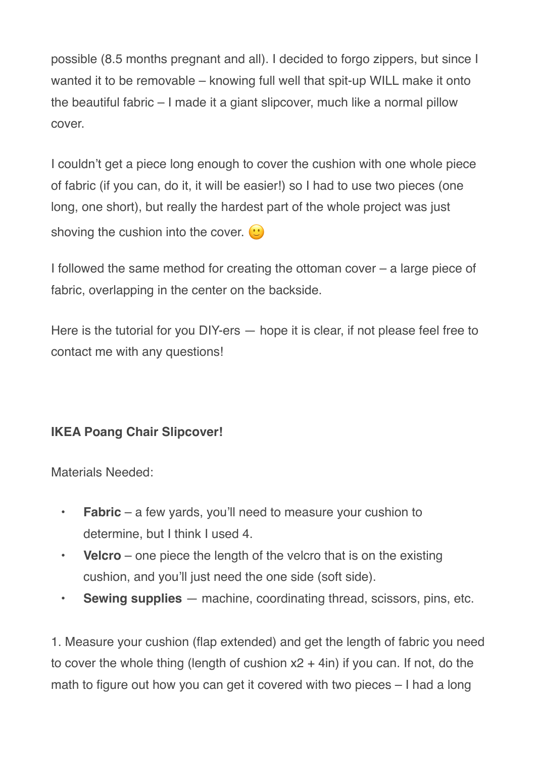possible (8.5 months pregnant and all). I decided to forgo zippers, but since I wanted it to be removable – knowing full well that spit-up WILL make it onto the beautiful fabric – I made it a giant slipcover, much like a normal pillow cover.

I couldn't get a piece long enough to cover the cushion with one whole piece of fabric (if you can, do it, it will be easier!) so I had to use two pieces (one long, one short), but really the hardest part of the whole project was just shoving the cushion into the cover.  $\odot$ 

I followed the same method for creating the ottoman cover – a large piece of fabric, overlapping in the center on the backside.

Here is the tutorial for you DIY-ers — hope it is clear, if not please feel free to contact me with any questions!

## **IKEA Poang Chair Slipcover!**

Materials Needed:

- **Fabric**  a few yards, you'll need to measure your cushion to determine, but I think I used 4.
- **Velcro** one piece the length of the velcro that is on the existing cushion, and you'll just need the one side (soft side).
- **Sewing supplies**  machine, coordinating thread, scissors, pins, etc.

1. Measure your cushion (flap extended) and get the length of fabric you need to cover the whole thing (length of cushion  $x^2 + 4$ in) if you can. If not, do the math to figure out how you can get it covered with two pieces – I had a long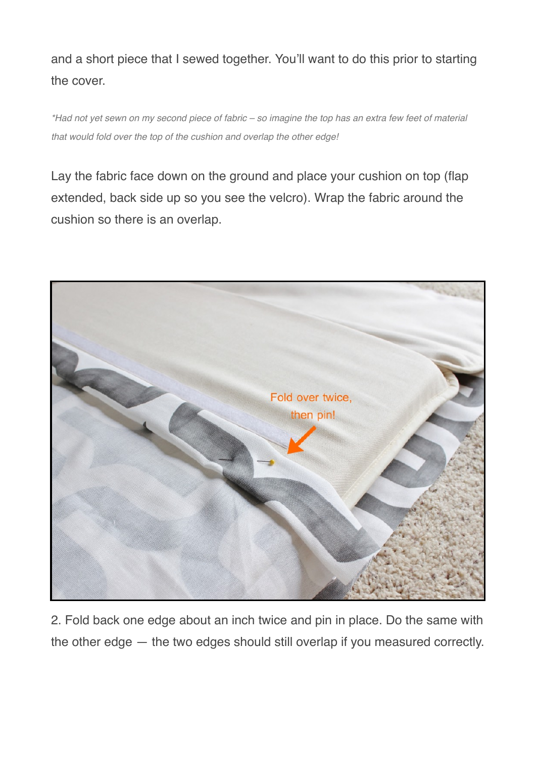and a short piece that I sewed together. You'll want to do this prior to starting the cover.

*\*Had not yet sewn on my second piece of fabric – so imagine the top has an extra few feet of material that would fold over the top of the cushion and overlap the other edge!*

Lay the fabric face down on the ground and place your cushion on top (flap extended, back side up so you see the velcro). Wrap the fabric around the cushion so there is an overlap.



2. Fold back one edge about an inch twice and pin in place. Do the same with the other edge — the two edges should still overlap if you measured correctly.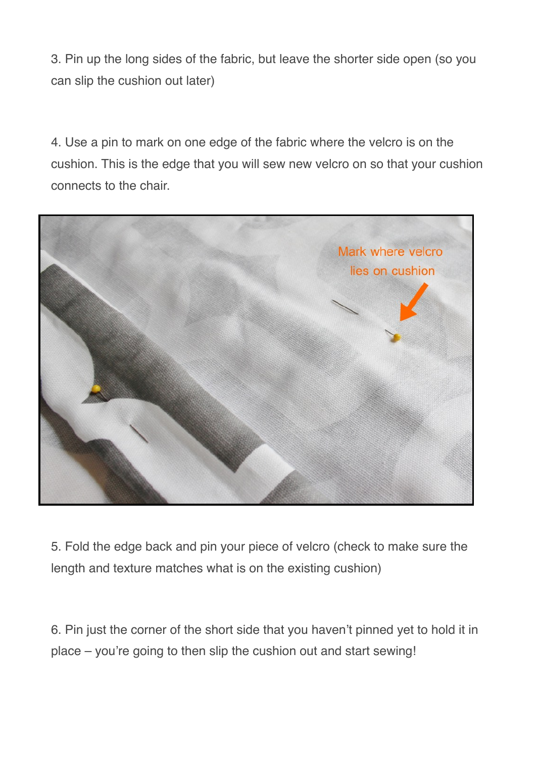3. Pin up the long sides of the fabric, but leave the shorter side open (so you can slip the cushion out later)

4. Use a pin to mark on one edge of the fabric where the velcro is on the cushion. This is the edge that you will sew new velcro on so that your cushion connects to the chair.



5. Fold the edge back and pin your piece of velcro (check to make sure the length and texture matches what is on the existing cushion)

6. Pin just the corner of the short side that you haven't pinned yet to hold it in place – you're going to then slip the cushion out and start sewing!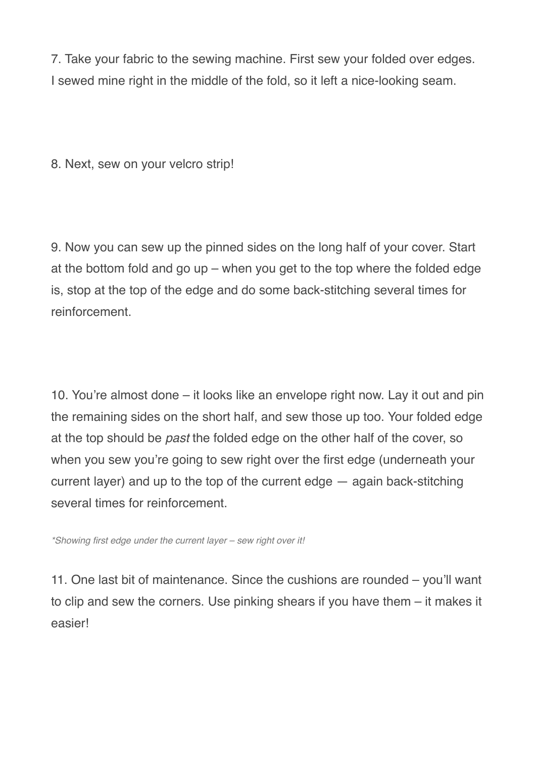7. Take your fabric to the sewing machine. First sew your folded over edges. I sewed mine right in the middle of the fold, so it left a nice-looking seam.

8. Next, sew on your velcro strip!

9. Now you can sew up the pinned sides on the long half of your cover. Start at the bottom fold and go up – when you get to the top where the folded edge is, stop at the top of the edge and do some back-stitching several times for reinforcement.

10. You're almost done – it looks like an envelope right now. Lay it out and pin the remaining sides on the short half, and sew those up too. Your folded edge at the top should be *past* the folded edge on the other half of the cover, so when you sew you're going to sew right over the first edge (underneath your current layer) and up to the top of the current edge — again back-stitching several times for reinforcement.

*\*Showing first edge under the current layer – sew right over it!*

11. One last bit of maintenance. Since the cushions are rounded – you'll want to clip and sew the corners. Use pinking shears if you have them – it makes it easier!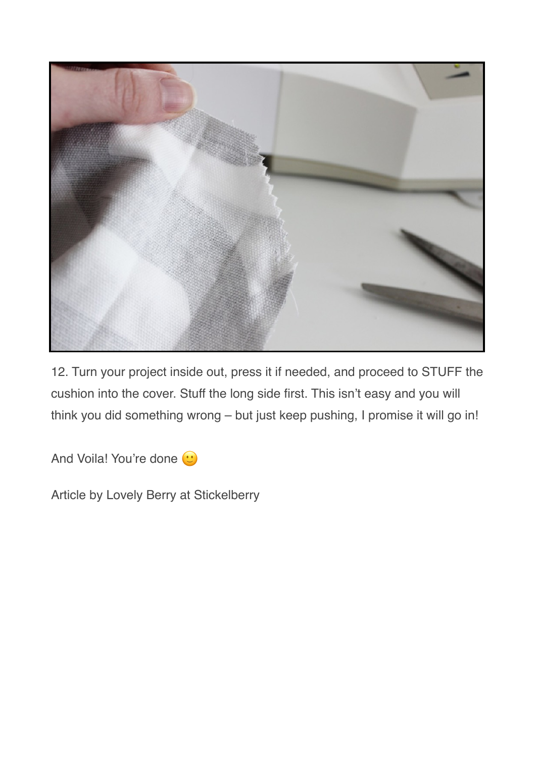

12. Turn your project inside out, press it if needed, and proceed to STUFF the cushion into the cover. Stuff the long side first. This isn't easy and you will think you did something wrong – but just keep pushing, I promise it will go in!

And Voila! You're done  $\odot$ 

Article by Lovely Berry at Stickelberry